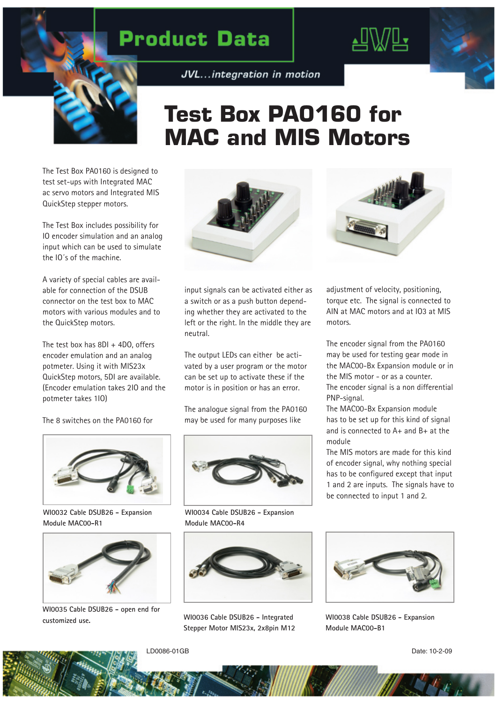## **Product Data**





## **Test Box PA0160 for MAC and MIS Motors**

The Test Box PA0160 is designed to test set-ups with Integrated MAC ac servo motors and Integrated MIS QuickStep stepper motors.

The Test Box includes possibility for IO encoder simulation and an analog input which can be used to simulate the IO´s of the machine.

A variety of special cables are available for connection of the DSUB connector on the test box to MAC motors with various modules and to the QuickStep motors.

The test box has  $8DI + 4DO$ , offers encoder emulation and an analog potmeter. Using it with MIS23x QuickStep motors, 5DI are available. (Encoder emulation takes 2IO and the potmeter takes 1IO)

The 8 switches on the PA0160 for



**WI0032 Cable DSUB26 - Expansion Module MAC00-R1**



**WI0035 Cable DSUB26 - open end for customized use. WI0036 Cable DSUB26 - Integrated** 



input signals can be activated either as a switch or as a push button depending whether they are activated to the left or the right. In the middle they are neutral.

The output LEDs can either be activated by a user program or the motor can be set up to activate these if the motor is in position or has an error.

The analogue signal from the PA0160 may be used for many purposes like



**WI0034 Cable DSUB26 - Expansion Module MAC00-R4**



**Stepper Motor MIS23x, 2x8pin M12**



adjustment of velocity, positioning, torque etc. The signal is connected to AIN at MAC motors and at IO3 at MIS motors.

The encoder signal from the PA0160 may be used for testing gear mode in the MAC00-Bx Expansion module or in the MIS motor - or as a counter. The encoder signal is a non differential PNP-signal.

The MAC00-Bx Expansion module has to be set up for this kind of signal and is connected to A+ and B+ at the module

The MIS motors are made for this kind of encoder signal, why nothing special has to be configured except that input 1 and 2 are inputs. The signals have to be connected to input 1 and 2.



**WI0038 Cable DSUB26 - Expansion Module MAC00-B1**

LD0086-01GB Date: 10-2-09